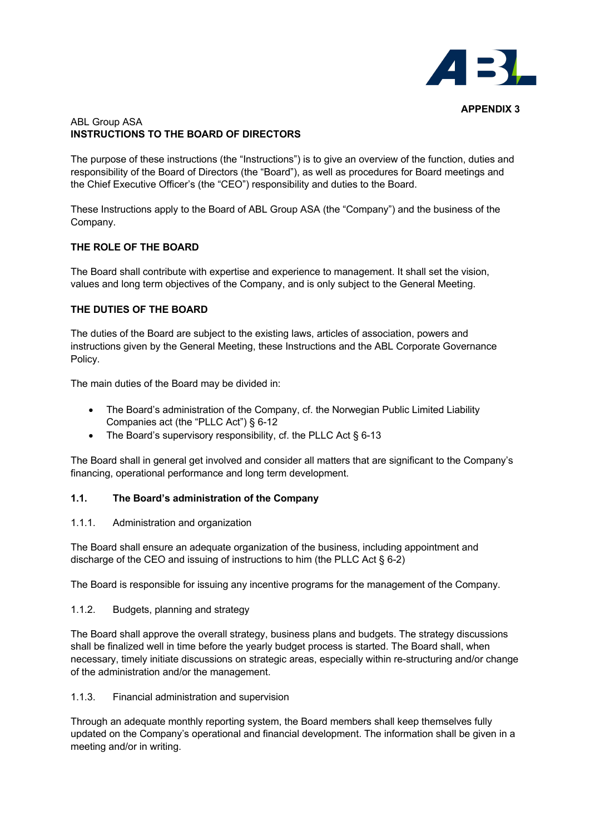

## ABL Group ASA **INSTRUCTIONS TO THE BOARD OF DIRECTORS**

The purpose of these instructions (the "Instructions") is to give an overview of the function, duties and responsibility of the Board of Directors (the "Board"), as well as procedures for Board meetings and the Chief Executive Officer's (the "CEO") responsibility and duties to the Board.

These Instructions apply to the Board of ABL Group ASA (the "Company") and the business of the Company.

# **THE ROLE OF THE BOARD**

The Board shall contribute with expertise and experience to management. It shall set the vision, values and long term objectives of the Company, and is only subject to the General Meeting.

## **THE DUTIES OF THE BOARD**

The duties of the Board are subject to the existing laws, articles of association, powers and instructions given by the General Meeting, these Instructions and the ABL Corporate Governance Policy.

The main duties of the Board may be divided in:

- The Board's administration of the Company, cf. the Norwegian Public Limited Liability Companies act (the "PLLC Act") § 6-12
- The Board's supervisory responsibility, cf. the PLLC Act § 6-13

The Board shall in general get involved and consider all matters that are significant to the Company's financing, operational performance and long term development.

### **1.1. The Board's administration of the Company**

### 1.1.1. Administration and organization

The Board shall ensure an adequate organization of the business, including appointment and discharge of the CEO and issuing of instructions to him (the PLLC Act § 6-2)

The Board is responsible for issuing any incentive programs for the management of the Company.

1.1.2. Budgets, planning and strategy

The Board shall approve the overall strategy, business plans and budgets. The strategy discussions shall be finalized well in time before the yearly budget process is started. The Board shall, when necessary, timely initiate discussions on strategic areas, especially within re-structuring and/or change of the administration and/or the management.

### 1.1.3. Financial administration and supervision

Through an adequate monthly reporting system, the Board members shall keep themselves fully updated on the Company's operational and financial development. The information shall be given in a meeting and/or in writing.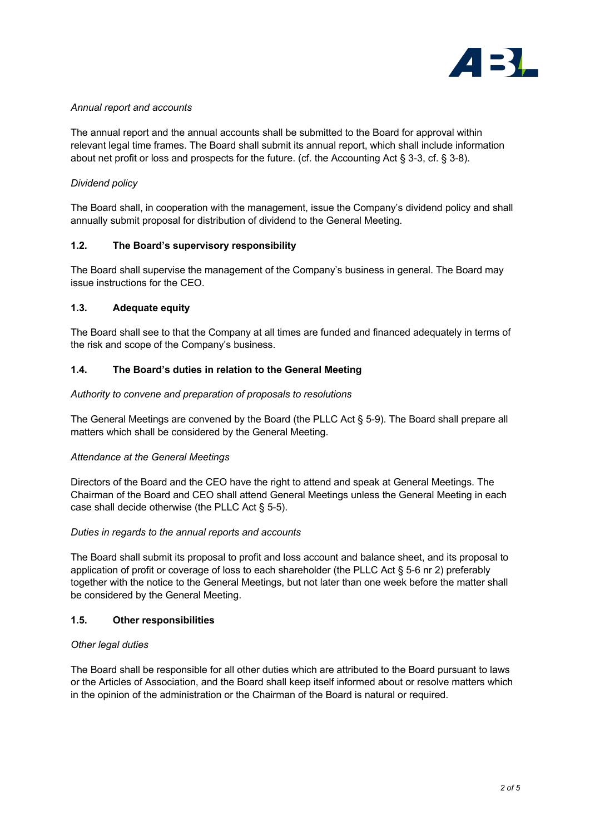

### *Annual report and accounts*

The annual report and the annual accounts shall be submitted to the Board for approval within relevant legal time frames. The Board shall submit its annual report, which shall include information about net profit or loss and prospects for the future. (cf. the Accounting Act § 3-3, cf. § 3-8).

# *Dividend policy*

The Board shall, in cooperation with the management, issue the Company's dividend policy and shall annually submit proposal for distribution of dividend to the General Meeting.

## **1.2. The Board's supervisory responsibility**

The Board shall supervise the management of the Company's business in general. The Board may issue instructions for the CEO.

### **1.3. Adequate equity**

The Board shall see to that the Company at all times are funded and financed adequately in terms of the risk and scope of the Company's business.

## **1.4. The Board's duties in relation to the General Meeting**

### *Authority to convene and preparation of proposals to resolutions*

The General Meetings are convened by the Board (the PLLC Act § 5-9). The Board shall prepare all matters which shall be considered by the General Meeting.

### *Attendance at the General Meetings*

Directors of the Board and the CEO have the right to attend and speak at General Meetings. The Chairman of the Board and CEO shall attend General Meetings unless the General Meeting in each case shall decide otherwise (the PLLC Act § 5-5).

### *Duties in regards to the annual reports and accounts*

The Board shall submit its proposal to profit and loss account and balance sheet, and its proposal to application of profit or coverage of loss to each shareholder (the PLLC Act § 5-6 nr 2) preferably together with the notice to the General Meetings, but not later than one week before the matter shall be considered by the General Meeting.

### **1.5. Other responsibilities**

### *Other legal duties*

The Board shall be responsible for all other duties which are attributed to the Board pursuant to laws or the Articles of Association, and the Board shall keep itself informed about or resolve matters which in the opinion of the administration or the Chairman of the Board is natural or required.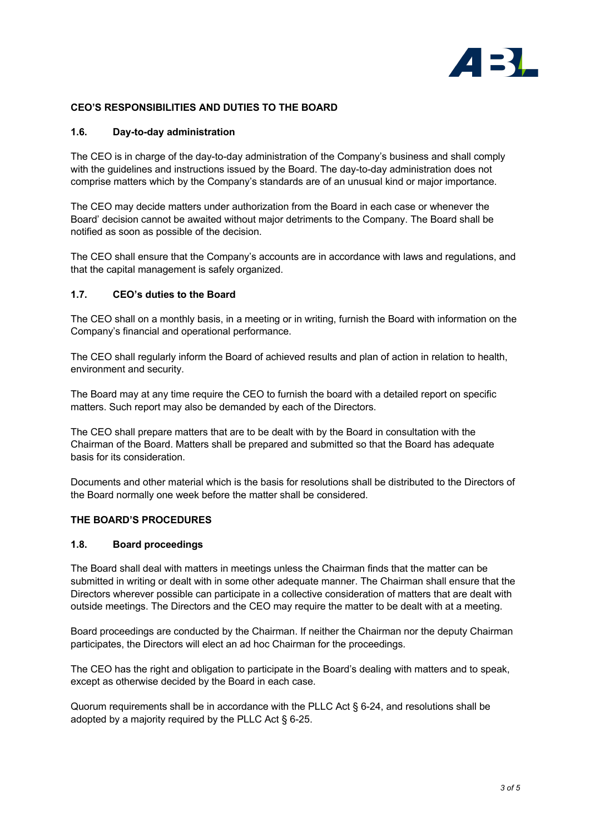

### **CEO'S RESPONSIBILITIES AND DUTIES TO THE BOARD**

#### **1.6. Day-to-day administration**

The CEO is in charge of the day-to-day administration of the Company's business and shall comply with the guidelines and instructions issued by the Board. The day-to-day administration does not comprise matters which by the Company's standards are of an unusual kind or major importance.

The CEO may decide matters under authorization from the Board in each case or whenever the Board' decision cannot be awaited without major detriments to the Company. The Board shall be notified as soon as possible of the decision.

The CEO shall ensure that the Company's accounts are in accordance with laws and regulations, and that the capital management is safely organized.

#### **1.7. CEO's duties to the Board**

The CEO shall on a monthly basis, in a meeting or in writing, furnish the Board with information on the Company's financial and operational performance.

The CEO shall regularly inform the Board of achieved results and plan of action in relation to health, environment and security.

The Board may at any time require the CEO to furnish the board with a detailed report on specific matters. Such report may also be demanded by each of the Directors.

The CEO shall prepare matters that are to be dealt with by the Board in consultation with the Chairman of the Board. Matters shall be prepared and submitted so that the Board has adequate basis for its consideration.

Documents and other material which is the basis for resolutions shall be distributed to the Directors of the Board normally one week before the matter shall be considered.

## **THE BOARD'S PROCEDURES**

#### **1.8. Board proceedings**

The Board shall deal with matters in meetings unless the Chairman finds that the matter can be submitted in writing or dealt with in some other adequate manner. The Chairman shall ensure that the Directors wherever possible can participate in a collective consideration of matters that are dealt with outside meetings. The Directors and the CEO may require the matter to be dealt with at a meeting.

Board proceedings are conducted by the Chairman. If neither the Chairman nor the deputy Chairman participates, the Directors will elect an ad hoc Chairman for the proceedings.

The CEO has the right and obligation to participate in the Board's dealing with matters and to speak, except as otherwise decided by the Board in each case.

Quorum requirements shall be in accordance with the PLLC Act § 6-24, and resolutions shall be adopted by a majority required by the PLLC Act § 6-25.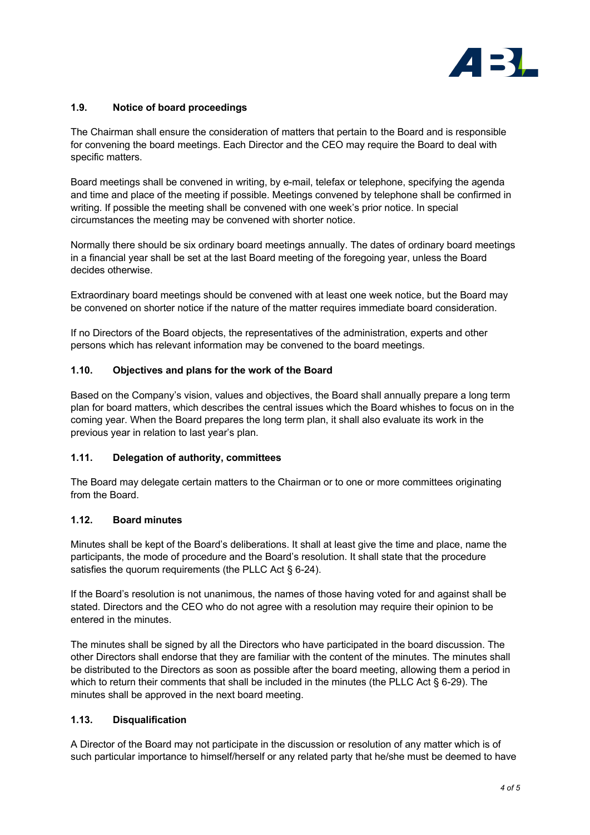

## **1.9. Notice of board proceedings**

The Chairman shall ensure the consideration of matters that pertain to the Board and is responsible for convening the board meetings. Each Director and the CEO may require the Board to deal with specific matters.

Board meetings shall be convened in writing, by e-mail, telefax or telephone, specifying the agenda and time and place of the meeting if possible. Meetings convened by telephone shall be confirmed in writing. If possible the meeting shall be convened with one week's prior notice. In special circumstances the meeting may be convened with shorter notice.

Normally there should be six ordinary board meetings annually. The dates of ordinary board meetings in a financial year shall be set at the last Board meeting of the foregoing year, unless the Board decides otherwise.

Extraordinary board meetings should be convened with at least one week notice, but the Board may be convened on shorter notice if the nature of the matter requires immediate board consideration.

If no Directors of the Board objects, the representatives of the administration, experts and other persons which has relevant information may be convened to the board meetings.

### **1.10. Objectives and plans for the work of the Board**

Based on the Company's vision, values and objectives, the Board shall annually prepare a long term plan for board matters, which describes the central issues which the Board whishes to focus on in the coming year. When the Board prepares the long term plan, it shall also evaluate its work in the previous year in relation to last year's plan.

### **1.11. Delegation of authority, committees**

The Board may delegate certain matters to the Chairman or to one or more committees originating from the Board.

### **1.12. Board minutes**

Minutes shall be kept of the Board's deliberations. It shall at least give the time and place, name the participants, the mode of procedure and the Board's resolution. It shall state that the procedure satisfies the quorum requirements (the PLLC Act § 6-24).

If the Board's resolution is not unanimous, the names of those having voted for and against shall be stated. Directors and the CEO who do not agree with a resolution may require their opinion to be entered in the minutes.

The minutes shall be signed by all the Directors who have participated in the board discussion. The other Directors shall endorse that they are familiar with the content of the minutes. The minutes shall be distributed to the Directors as soon as possible after the board meeting, allowing them a period in which to return their comments that shall be included in the minutes (the PLLC Act § 6-29). The minutes shall be approved in the next board meeting.

### **1.13. Disqualification**

A Director of the Board may not participate in the discussion or resolution of any matter which is of such particular importance to himself/herself or any related party that he/she must be deemed to have